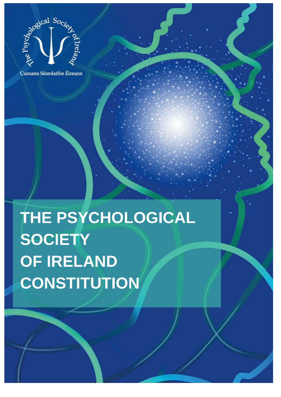

Cumann Síceolaithe Éireann

THE PSYCHOLOGICAL SOCIETY OF IRELAND **CONSTITUTION**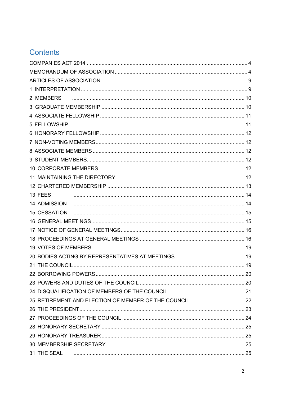# Contents

| 2 MEMBERS           |  |
|---------------------|--|
|                     |  |
|                     |  |
|                     |  |
|                     |  |
|                     |  |
|                     |  |
|                     |  |
|                     |  |
|                     |  |
|                     |  |
| 13 FEES             |  |
|                     |  |
| <b>15 CESSATION</b> |  |
|                     |  |
|                     |  |
|                     |  |
|                     |  |
|                     |  |
|                     |  |
|                     |  |
|                     |  |
|                     |  |
|                     |  |
|                     |  |
|                     |  |
|                     |  |
|                     |  |
|                     |  |
| 31 THE SEAL 25      |  |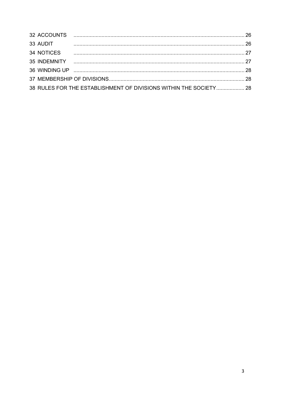| 33 AUDIT   |                                                                   |  |
|------------|-------------------------------------------------------------------|--|
| 34 NOTICES |                                                                   |  |
|            |                                                                   |  |
|            |                                                                   |  |
|            |                                                                   |  |
|            | 38 RULES FOR THE ESTABLISHMENT OF DIVISIONS WITHIN THE SOCIETY 28 |  |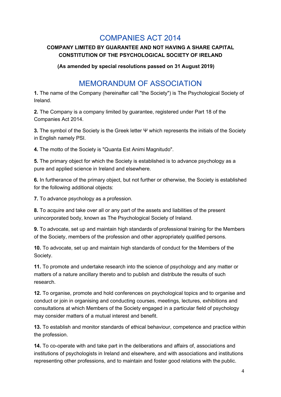## COMPANIES ACT 2014

#### <span id="page-3-0"></span>**COMPANY LIMITED BY GUARANTEE AND NOT HAVING A SHARE CAPITAL CONSTITUTION OF THE PSYCHOLOGICAL SOCIETY OF IRELAND**

**(As amended by special resolutions passed on 31 August 2019)**

## MEMORANDUM OF ASSOCIATION

<span id="page-3-1"></span>**1.** The name of the Company (hereinafter call "the Society") is The Psychological Society of Ireland.

**2.** The Company is a company limited by guarantee, registered under Part 18 of the Companies Act 2014.

**3.** The symbol of the Society is the Greek letter Ψ which represents the initials of the Society in English namely PSI.

**4.** The motto of the Society is "Quanta Est Animi Magnitudo".

**5.** The primary object for which the Society is established is to advance psychology as a pure and applied science in Ireland and elsewhere.

**6.** In furtherance of the primary object, but not further or otherwise, the Society is established for the following additional objects:

**7.** To advance psychology as a profession.

**8.** To acquire and take over all or any part of the assets and liabilities of the present unincorporated body, known as The Psychological Society of Ireland.

**9.** To advocate, set up and maintain high standards of professional training for the Members of the Society, members of the profession and other appropriately qualified persons.

**10.** To advocate, set up and maintain high standards of conduct for the Members of the Society.

**11.** To promote and undertake research into the science of psychology and any matter or matters of a nature ancillary thereto and to publish and distribute the results of such research.

**12.** To organise, promote and hold conferences on psychological topics and to organise and conduct or join in organising and conducting courses, meetings, lectures, exhibitions and consultations at which Members of the Society engaged in a particular field of psychology may consider matters of a mutual interest and benefit.

**13.** To establish and monitor standards of ethical behaviour, competence and practice within the profession.

**14.** To co-operate with and take part in the deliberations and affairs of, associations and institutions of psychologists in Ireland and elsewhere, and with associations and institutions representing other professions, and to maintain and foster good relations with the public.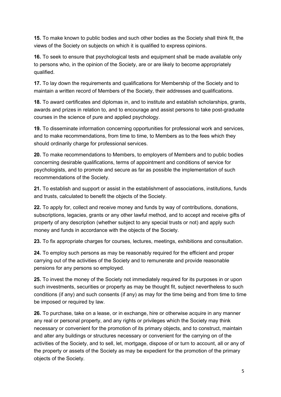**15.** To make known to public bodies and such other bodies as the Society shall think fit, the views of the Society on subjects on which it is qualified to express opinions.

**16.** To seek to ensure that psychological tests and equipment shall be made available only to persons who, in the opinion of the Society, are or are likely to become appropriately qualified.

**17.** To lay down the requirements and qualifications for Membership of the Society and to maintain a written record of Members of the Society, their addresses and qualifications.

**18.** To award certificates and diplomas in, and to institute and establish scholarships, grants, awards and prizes in relation to, and to encourage and assist persons to take post-graduate courses in the science of pure and applied psychology.

**19.** To disseminate information concerning opportunities for professional work and services, and to make recommendations, from time to time, to Members as to the fees which they should ordinarily charge for professional services.

**20.** To make recommendations to Members, to employers of Members and to public bodies concerning desirable qualifications, terms of appointment and conditions of service for psychologists, and to promote and secure as far as possible the implementation of such recommendations of the Society.

**21.** To establish and support or assist in the establishment of associations, institutions, funds and trusts, calculated to benefit the objects of the Society.

**22.** To apply for, collect and receive money and funds by way of contributions, donations, subscriptions, legacies, grants or any other lawful method, and to accept and receive gifts of property of any description (whether subject to any special trusts or not) and apply such money and funds in accordance with the objects of the Society.

**23.** To fix appropriate charges for courses, lectures, meetings, exhibitions and consultation.

**24.** To employ such persons as may be reasonably required for the efficient and proper carrying out of the activities of the Society and to remunerate and provide reasonable pensions for any persons so employed.

**25.** To invest the money of the Society not immediately required for its purposes in or upon such investments, securities or property as may be thought fit, subject nevertheless to such conditions (if any) and such consents (if any) as may for the time being and from time to time be imposed or required by law.

**26.** To purchase, take on a lease, or in exchange, hire or otherwise acquire in any manner any real or personal property, and any rights or privileges which the Society may think necessary or convenient for the promotion of its primary objects, and to construct, maintain and alter any buildings or structures necessary or convenient for the carrying on of the activities of the Society, and to sell, let, mortgage, dispose of or turn to account, all or any of the property or assets of the Society as may be expedient for the promotion of the primary objects of the Society.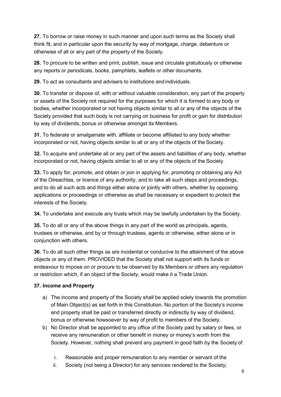**27.** To borrow or raise money in such manner and upon such terms as the Society shall think fit, and in particular upon the security by way of mortgage, charge, debenture or otherwise of all or any part of the property of the Society.

**28.** To procure to be written and print, publish, issue and circulate gratuitously or otherwise any reports or periodicals, books, pamphlets, leaflets or other documents.

**29.** To act as consultants and advisers to institutions and individuals.

**30.** To transfer or dispose of, with or without valuable consideration, any part of the property or assets of the Society not required for the purposes for which it is formed to any body or bodies, whether incorporated or not having objects similar to all or any of the objects of the Society provided that such body is not carrying on business for profit or gain for distribution by way of dividends, bonus or otherwise amongst its Members.

**31.** To federate or amalgamate with, affiliate or become affiliated to any body whether incorporated or not, having objects similar to all or any of the objects of the Society.

**32.** To acquire and undertake all or any part of the assets and liabilities of any body, whether incorporated or not, having objects similar to all or any of the objects of the Society.

**33.** To apply for, promote, and obtain or join in applying for, promoting or obtaining any Act of the Oireachtas, or licence of any authority, and to take all such steps and proceedings, and to do all such acts and things either alone or jointly with others, whether by opposing applications or proceedings or otherwise as shall be necessary or expedient to protect the interests of the Society.

**34.** To undertake and execute any trusts which may be lawfully undertaken by the Society.

**35.** To do all or any of the above things in any part of the world as principals, agents, trustees or otherwise, and by or through trustees, agents or otherwise, either alone or in conjunction with others.

**36.** To do all such other things as are incidental or conducive to the attainment of the above objects or any of them. PROVIDED that the Society shall not support with its funds or endeavour to impose on or procure to be observed by its Members or others any regulation or restriction which, if an object of the Society, would make it a Trade Union.

#### **37. Income and Property**

- a) The income and property of the Society shall be applied solely towards the promotion of Main Object(s) as set forth in this Constitution. No portion of the Society's income and property shall be paid or transferred directly or indirectly by way of dividend, bonus or otherwise howsoever by way of profit to members of the Society.
- b) No Director shall be appointed to any office of the Society paid by salary or fees, or receive any remuneration or other benefit in money or money's worth from the Society. However, nothing shall prevent any payment in good faith by the Society of:
	- i. Reasonable and proper remuneration to any member or servant of the
	- ii. Society (not being a Director) for any services rendered to the Society;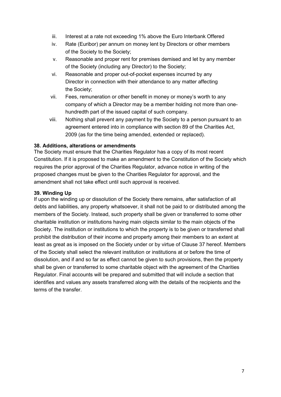- iii. Interest at a rate not exceeding 1% above the Euro Interbank Offered
- iv. Rate (Euribor) per annum on money lent by Directors or other members of the Society to the Society;
- v. Reasonable and proper rent for premises demised and let by any member of the Society (including any Director) to the Society;
- vi. Reasonable and proper out-of-pocket expenses incurred by any Director in connection with their attendance to any matter affecting the Society;
- vii. Fees, remuneration or other benefit in money or money's worth to any company of which a Director may be a member holding not more than onehundredth part of the issued capital of such company.
- viii. Nothing shall prevent any payment by the Society to a person pursuant to an agreement entered into in compliance with section 89 of the Charities Act, 2009 (as for the time being amended, extended or replaced).

#### **38. Additions, alterations or amendments**

The Society must ensure that the Charities Regulator has a copy of its most recent Constitution. If it is proposed to make an amendment to the Constitution of the Society which requires the prior approval of the Charities Regulator, advance notice in writing of the proposed changes must be given to the Charities Regulator for approval, and the amendment shall not take effect until such approval is received.

#### **39. Winding Up**

If upon the winding up or dissolution of the Society there remains, after satisfaction of all debts and liabilities, any property whatsoever, it shall not be paid to or distributed among the members of the Society. Instead, such property shall be given or transferred to some other charitable institution or institutions having main objects similar to the main objects of the Society. The institution or institutions to which the property is to be given or transferred shall prohibit the distribution of their income and property among their members to an extent at least as great as is imposed on the Society under or by virtue of Clause 37 hereof. Members of the Society shall select the relevant institution or institutions at or before the time of dissolution, and if and so far as effect cannot be given to such provisions, then the property shall be given or transferred to some charitable object with the agreement of the Charities Regulator. Final accounts will be prepared and submitted that will include a section that identifies and values any assets transferred along with the details of the recipients and the terms of the transfer.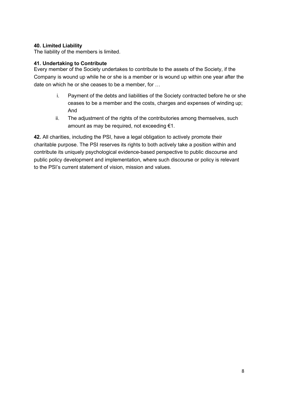#### **40. Limited Liability**

The liability of the members is limited.

#### **41. Undertaking to Contribute**

Every member of the Society undertakes to contribute to the assets of the Society, if the Company is wound up while he or she is a member or is wound up within one year after the date on which he or she ceases to be a member, for …

- i. Payment of the debts and liabilities of the Society contracted before he or she ceases to be a member and the costs, charges and expenses of winding up; And
- ii. The adjustment of the rights of the contributories among themselves, such amount as may be required, not exceeding €1.

**42.** All charities, including the PSI, have a legal obligation to actively promote their charitable purpose. The PSI reserves its rights to both actively take a position within and contribute its uniquely psychological evidence-based perspective to public discourse and public policy development and implementation, where such discourse or policy is relevant to the PSI's current statement of vision, mission and values.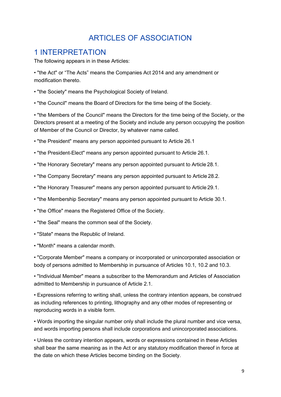# ARTICLES OF ASSOCIATION

#### <span id="page-8-1"></span><span id="page-8-0"></span>1 INTERPRETATION

The following appears in in these Articles:

• "the Act" or "The Acts" means the Companies Act 2014 and any amendment or modification thereto.

• "the Society" means the Psychological Society of Ireland.

• "the Council" means the Board of Directors for the time being of the Society.

• "the Members of the Council" means the Directors for the time being of the Society, or the Directors present at a meeting of the Society and include any person occupying the position of Member of the Council or Director, by whatever name called.

- "the President" means any person appointed pursuant to Article 26.1
- "the President-Elect" means any person appointed pursuant to Article 26.1.
- "the Honorary Secretary" means any person appointed pursuant to Article 28.1.
- "the Company Secretary" means any person appointed pursuant to Article 28.2.
- "the Honorary Treasurer" means any person appointed pursuant to Article 29.1.
- "the Membership Secretary" means any person appointed pursuant to Article 30.1.
- "the Office" means the Registered Office of the Society.
- "the Seal" means the common seal of the Society.
- "State" means the Republic of Ireland.
- "Month" means a calendar month.

• "Corporate Member" means a company or incorporated or unincorporated association or body of persons admitted to Membership in pursuance of Articles 10.1, 10.2 and 10.3.

• "Individual Member" means a subscriber to the Memorandum and Articles of Association admitted to Membership in pursuance of Article 2.1.

• Expressions referring to writing shall, unless the contrary intention appears, be construed as including references to printing, lithography and any other modes of representing or reproducing words in a visible form.

• Words importing the singular number only shall include the plural number and vice versa, and words importing persons shall include corporations and unincorporated associations.

• Unless the contrary intention appears, words or expressions contained in these Articles shall bear the same meaning as in the Act or any statutory modification thereof in force at the date on which these Articles become binding on the Society.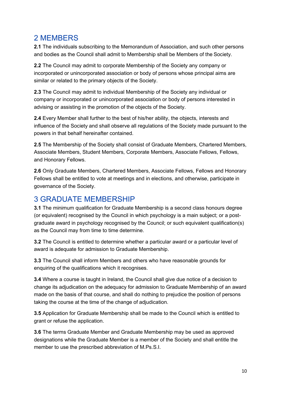## <span id="page-9-0"></span>2 MEMBERS

**2.1** The individuals subscribing to the Memorandum of Association, and such other persons and bodies as the Council shall admit to Membership shall be Members of the Society.

**2.2** The Council may admit to corporate Membership of the Society any company or incorporated or unincorporated association or body of persons whose principal aims are similar or related to the primary objects of the Society.

**2.3** The Council may admit to individual Membership of the Society any individual or company or incorporated or unincorporated association or body of persons interested in advising or assisting in the promotion of the objects of the Society.

**2.4** Every Member shall further to the best of his/her ability, the objects, interests and influence of the Society and shall observe all regulations of the Society made pursuant to the powers in that behalf hereinafter contained.

**2.5** The Membership of the Society shall consist of Graduate Members, Chartered Members, Associate Members, Student Members, Corporate Members, Associate Fellows, Fellows, and Honorary Fellows.

**2.6** Only Graduate Members, Chartered Members, Associate Fellows, Fellows and Honorary Fellows shall be entitled to vote at meetings and in elections, and otherwise, participate in governance of the Society.

### <span id="page-9-1"></span>3 GRADUATE MEMBERSHIP

**3.1** The minimum qualification for Graduate Membership is a second class honours degree (or equivalent) recognised by the Council in which psychology is a main subject; or a postgraduate award in psychology recognised by the Council; or such equivalent qualification(s) as the Council may from time to time determine.

**3.2** The Council is entitled to determine whether a particular award or a particular level of award is adequate for admission to Graduate Membership.

**3.3** The Council shall inform Members and others who have reasonable grounds for enquiring of the qualifications which it recognises.

**3.4** Where a course is taught in Ireland, the Council shall give due notice of a decision to change its adjudication on the adequacy for admission to Graduate Membership of an award made on the basis of that course, and shall do nothing to prejudice the position of persons taking the course at the time of the change of adjudication.

**3.5** Application for Graduate Membership shall be made to the Council which is entitled to grant or refuse the application.

**3.6** The terms Graduate Member and Graduate Membership may be used as approved designations while the Graduate Member is a member of the Society and shall entitle the member to use the prescribed abbreviation of M.Ps.S.I.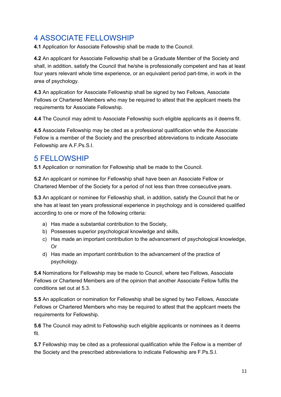# <span id="page-10-0"></span>4 ASSOCIATE FELLOWSHIP

**4.1** Application for Associate Fellowship shall be made to the Council.

**4.2** An applicant for Associate Fellowship shall be a Graduate Member of the Society and shall, in addition, satisfy the Council that he/she is professionally competent and has at least four years relevant whole time experience, or an equivalent period part-time, in work in the area of psychology.

**4.3** An application for Associate Fellowship shall be signed by two Fellows, Associate Fellows or Chartered Members who may be required to attest that the applicant meets the requirements for Associate Fellowship.

**4.4** The Council may admit to Associate Fellowship such eligible applicants as it deems fit.

**4.5** Associate Fellowship may be cited as a professional qualification while the Associate Fellow is a member of the Society and the prescribed abbreviations to indicate Associate Fellowship are A.F.Ps.S.I.

#### <span id="page-10-1"></span>5 FELLOWSHIP

**5.1** Application or nomination for Fellowship shall be made to the Council.

**5.2** An applicant or nominee for Fellowship shall have been an Associate Fellow or Chartered Member of the Society for a period of not less than three consecutive years.

**5.3** An applicant or nominee for Fellowship shall, in addition, satisfy the Council that he or she has at least ten years professional experience in psychology and is considered qualified according to one or more of the following criteria:

- a) Has made a substantial contribution to the Society,
- b) Possesses superior psychological knowledge and skills,
- c) Has made an important contribution to the advancement of psychological knowledge, Or
- d) Has made an important contribution to the advancement of the practice of psychology.

**5.4** Nominations for Fellowship may be made to Council, where two Fellows, Associate Fellows or Chartered Members are of the opinion that another Associate Fellow fulfils the conditions set out at 5.3.

**5.5** An application or nomination for Fellowship shall be signed by two Fellows, Associate Fellows or Chartered Members who may be required to attest that the applicant meets the requirements for Fellowship.

**5.6** The Council may admit to Fellowship such eligible applicants or nominees as it deems fit.

**5.7** Fellowship may be cited as a professional qualification while the Fellow is a member of the Society and the prescribed abbreviations to indicate Fellowship are F.Ps.S.I.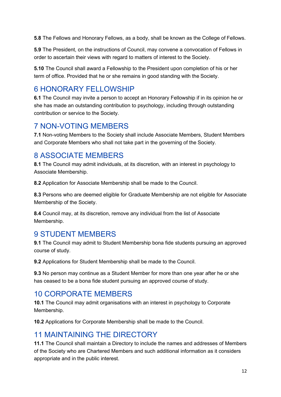**5.8** The Fellows and Honorary Fellows, as a body, shall be known as the College of Fellows.

**5.9** The President, on the instructions of Council, may convene a convocation of Fellows in order to ascertain their views with regard to matters of interest to the Society.

**5.10** The Council shall award a Fellowship to the President upon completion of his or her term of office. Provided that he or she remains in good standing with the Society.

## <span id="page-11-0"></span>6 HONORARY FELLOWSHIP

**6.1** The Council may invite a person to accept an Honorary Fellowship if in its opinion he or she has made an outstanding contribution to psychology, including through outstanding contribution or service to the Society.

#### <span id="page-11-1"></span>7 NON-VOTING MEMBERS

**7.1** Non-voting Members to the Society shall include Associate Members, Student Members and Corporate Members who shall not take part in the governing of the Society.

## <span id="page-11-2"></span>8 ASSOCIATE MEMBERS

**8.1** The Council may admit individuals, at its discretion, with an interest in psychology to Associate Membership.

**8.2** Application for Associate Membership shall be made to the Council.

**8.3** Persons who are deemed eligible for Graduate Membership are not eligible for Associate Membership of the Society.

**8.4** Council may, at its discretion, remove any individual from the list of Associate Membership.

## <span id="page-11-3"></span>9 STUDENT MEMBERS

**9.1** The Council may admit to Student Membership bona fide students pursuing an approved course of study.

**9.2** Applications for Student Membership shall be made to the Council.

**9.3** No person may continue as a Student Member for more than one year after he or she has ceased to be a bona fide student pursuing an approved course of study.

## <span id="page-11-4"></span>10 CORPORATE MEMBERS

**10.1** The Council may admit organisations with an interest in psychology to Corporate Membership.

**10.2** Applications for Corporate Membership shall be made to the Council.

## <span id="page-11-5"></span>11 MAINTAINING THE DIRECTORY

**11.1** The Council shall maintain a Directory to include the names and addresses of Members of the Society who are Chartered Members and such additional information as it considers appropriate and in the public interest.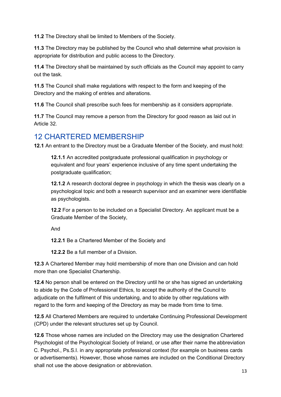**11.2** The Directory shall be limited to Members of the Society.

**11.3** The Directory may be published by the Council who shall determine what provision is appropriate for distribution and public access to the Directory.

**11.4** The Directory shall be maintained by such officials as the Council may appoint to carry out the task.

**11.5** The Council shall make regulations with respect to the form and keeping of the Directory and the making of entries and alterations.

**11.6** The Council shall prescribe such fees for membership as it considers appropriate.

**11.7** The Council may remove a person from the Directory for good reason as laid out in Article 32.

## <span id="page-12-0"></span>12 CHARTERED MEMBERSHIP

**12.1** An entrant to the Directory must be a Graduate Member of the Society, and must hold:

**12.1.1** An accredited postgraduate professional qualification in psychology or equivalent and four years' experience inclusive of any time spent undertaking the postgraduate qualification;

**12.1.2** A research doctoral degree in psychology in which the thesis was clearly on a psychological topic and both a research supervisor and an examiner were identifiable as psychologists.

**12.2** For a person to be included on a Specialist Directory. An applicant must be a Graduate Member of the Society,

And

**12.2.1** Be a Chartered Member of the Society and

**12.2.2** Be a full member of a Division.

**12.3** A Chartered Member may hold membership of more than one Division and can hold more than one Specialist Chartership.

**12.4** No person shall be entered on the Directory until he or she has signed an undertaking to abide by the Code of Professional Ethics, to accept the authority of the Council to adjudicate on the fulfilment of this undertaking, and to abide by other regulations with regard to the form and keeping of the Directory as may be made from time to time.

**12.5** All Chartered Members are required to undertake Continuing Professional Development (CPD) under the relevant structures set up by Council.

**12.6** Those whose names are included on the Directory may use the designation Chartered Psychologist of the Psychological Society of Ireland, or use after their name the abbreviation C. Psychol., Ps.S.I. in any appropriate professional context (for example on business cards or advertisements). However, those whose names are included on the Conditional Directory shall not use the above designation or abbreviation.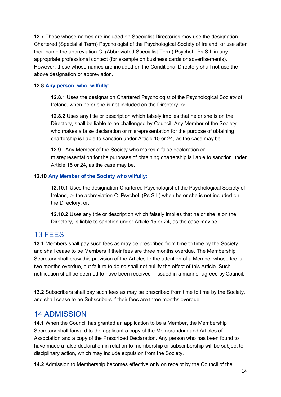**12.7** Those whose names are included on Specialist Directories may use the designation Chartered (Specialist Term) Psychologist of the Psychological Society of Ireland, or use after their name the abbreviation C. (Abbreviated Specialist Term) Psychol., Ps.S.I. in any appropriate professional context (for example on business cards or advertisements). However, those whose names are included on the Conditional Directory shall not use the above designation or abbreviation.

#### **12.8 Any person, who, wilfully:**

**12.8.1** Uses the designation Chartered Psychologist of the Psychological Society of Ireland, when he or she is not included on the Directory, or

**12.8.2** Uses any title or description which falsely implies that he or she is on the Directory, shall be liable to be challenged by Council. Any Member of the Society who makes a false declaration or misrepresentation for the purpose of obtaining chartership is liable to sanction under Article 15 or 24, as the case may be.

**12.9** Any Member of the Society who makes a false declaration or misrepresentation for the purposes of obtaining chartership is liable to sanction under Article 15 or 24, as the case may be.

#### **12.10 Any Member of the Society who wilfully:**

**12.10.1** Uses the designation Chartered Psychologist of the Psychological Society of Ireland, or the abbreviation C. Psychol. (Ps.S.I.) when he or she is not included on the Directory, or,

**12.10.2** Uses any title or description which falsely implies that he or she is on the Directory, is liable to sanction under Article 15 or 24, as the case may be.

#### <span id="page-13-0"></span>13 FEES

**13.1** Members shall pay such fees as may be prescribed from time to time by the Society and shall cease to be Members if their fees are three months overdue. The Membership Secretary shall draw this provision of the Articles to the attention of a Member whose fee is two months overdue, but failure to do so shall not nullify the effect of this Article. Such notification shall be deemed to have been received if issued in a manner agreed by Council.

**13.2** Subscribers shall pay such fees as may be prescribed from time to time by the Society, and shall cease to be Subscribers if their fees are three months overdue.

#### <span id="page-13-1"></span>14 ADMISSION

**14.1** When the Council has granted an application to be a Member, the Membership Secretary shall forward to the applicant a copy of the Memorandum and Articles of Association and a copy of the Prescribed Declaration. Any person who has been found to have made a false declaration in relation to membership or subscribership will be subject to disciplinary action, which may include expulsion from the Society.

**14.2** Admission to Membership becomes effective only on receipt by the Council of the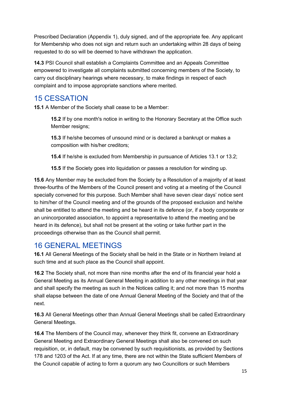Prescribed Declaration (Appendix 1), duly signed, and of the appropriate fee. Any applicant for Membership who does not sign and return such an undertaking within 28 days of being requested to do so will be deemed to have withdrawn the application.

**14.3** PSI Council shall establish a Complaints Committee and an Appeals Committee empowered to investigate all complaints submitted concerning members of the Society, to carry out disciplinary hearings where necessary, to make findings in respect of each complaint and to impose appropriate sanctions where merited.

## <span id="page-14-0"></span>15 CESSATION

**15.1** A Member of the Society shall cease to be a Member:

**15.2** If by one month's notice in writing to the Honorary Secretary at the Office such Member resigns;

**15.3** If he/she becomes of unsound mind or is declared a bankrupt or makes a composition with his/her creditors;

**15.4** If he/she is excluded from Membership in pursuance of Articles 13.1 or 13.2;

**15.5** If the Society goes into liquidation or passes a resolution for winding up.

**15.6** Any Member may be excluded from the Society by a Resolution of a majority of at least three-fourths of the Members of the Council present and voting at a meeting of the Council specially convened for this purpose. Such Member shall have seven clear days' notice sent to him/her of the Council meeting and of the grounds of the proposed exclusion and he/she shall be entitled to attend the meeting and be heard in its defence (or, if a body corporate or an unincorporated association, to appoint a representative to attend the meeting and be heard in its defence), but shall not be present at the voting or take further part in the proceedings otherwise than as the Council shall permit.

## <span id="page-14-1"></span>16 GENERAL MEETINGS

**16.1** All General Meetings of the Society shall be held in the State or in Northern Ireland at such time and at such place as the Council shall appoint.

**16.2** The Society shall, not more than nine months after the end of its financial year hold a General Meeting as its Annual General Meeting in addition to any other meetings in that year and shall specify the meeting as such in the Notices calling it; and not more than 15 months shall elapse between the date of one Annual General Meeting of the Society and that of the next.

**16.3** All General Meetings other than Annual General Meetings shall be called Extraordinary General Meetings.

**16.4** The Members of the Council may, whenever they think fit, convene an Extraordinary General Meeting and Extraordinary General Meetings shall also be convened on such requisition, or, in default, may be convened by such requisitionists, as provided by Sections 178 and 1203 of the Act. If at any time, there are not within the State sufficient Members of the Council capable of acting to form a quorum any two Councillors or such Members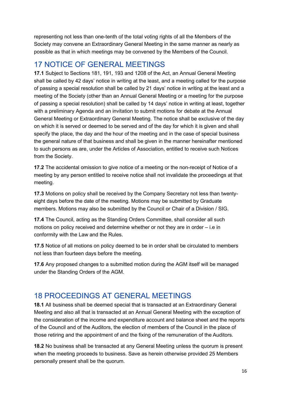representing not less than one-tenth of the total voting rights of all the Members of the Society may convene an Extraordinary General Meeting in the same manner as nearly as possible as that in which meetings may be convened by the Members of the Council.

## <span id="page-15-0"></span>17 NOTICE OF GENERAL MEETINGS

**17.1** Subject to Sections 181, 191, 193 and 1208 of the Act, an Annual General Meeting shall be called by 42 days' notice in writing at the least, and a meeting called for the purpose of passing a special resolution shall be called by 21 days' notice in writing at the least and a meeting of the Society (other than an Annual General Meeting or a meeting for the purpose of passing a special resolution) shall be called by 14 days' notice in writing at least, together with a preliminary Agenda and an invitation to submit motions for debate at the Annual General Meeting or Extraordinary General Meeting. The notice shall be exclusive of the day on which it is served or deemed to be served and of the day for which it is given and shall specify the place, the day and the hour of the meeting and in the case of special business the general nature of that business and shall be given in the manner hereinafter mentioned to such persons as are, under the Articles of Association, entitled to receive such Notices from the Society.

**17.2** The accidental omission to give notice of a meeting or the non-receipt of Notice of a meeting by any person entitled to receive notice shall not invalidate the proceedings at that meeting.

**17.3** Motions on policy shall be received by the Company Secretary not less than twentyeight days before the date of the meeting. Motions may be submitted by Graduate members. Motions may also be submitted by the Council or Chair of a Division / SIG.

**17.4** The Council, acting as the Standing Orders Committee, shall consider all such motions on policy received and determine whether or not they are in order – i.e in conformity with the Law and the Rules.

**17.5** Notice of all motions on policy deemed to be in order shall be circulated to members not less than fourteen days before the meeting.

**17.6** Any proposed changes to a submitted motion during the AGM itself will be managed under the Standing Orders of the AGM.

## <span id="page-15-1"></span>18 PROCEEDINGS AT GENERAL MEETINGS

**18.1** All business shall be deemed special that is transacted at an Extraordinary General Meeting and also all that is transacted at an Annual General Meeting with the exception of the consideration of the income and expenditure account and balance sheet and the reports of the Council and of the Auditors, the election of members of the Council in the place of those retiring and the appointment of and the fixing of the remuneration of the Auditors.

**18.2** No business shall be transacted at any General Meeting unless the quorum is present when the meeting proceeds to business. Save as herein otherwise provided 25 Members personally present shall be the quorum.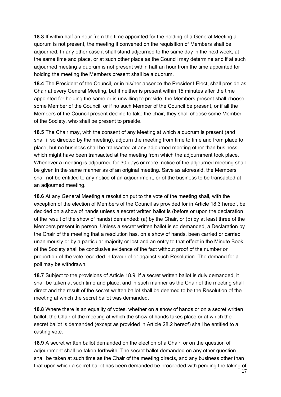**18.3** If within half an hour from the time appointed for the holding of a General Meeting a quorum is not present, the meeting if convened on the requisition of Members shall be adjourned. In any other case it shall stand adjourned to the same day in the next week, at the same time and place, or at such other place as the Council may determine and if at such adjourned meeting a quorum is not present within half an hour from the time appointed for holding the meeting the Members present shall be a quorum.

**18.4** The President of the Council, or in his/her absence the President-Elect, shall preside as Chair at every General Meeting, but if neither is present within 15 minutes after the time appointed for holding the same or is unwilling to preside, the Members present shall choose some Member of the Council, or if no such Member of the Council be present, or if all the Members of the Council present decline to take the chair, they shall choose some Member of the Society, who shall be present to preside.

**18.5** The Chair may, with the consent of any Meeting at which a quorum is present (and shall if so directed by the meeting), adjourn the meeting from time to time and from place to place, but no business shall be transacted at any adjourned meeting other than business which might have been transacted at the meeting from which the adjournment took place. Whenever a meeting is adjourned for 30 days or more, notice of the adjourned meeting shall be given in the same manner as of an original meeting. Save as aforesaid, the Members shall not be entitled to any notice of an adjournment, or of the business to be transacted at an adjourned meeting.

**18.6** At any General Meeting a resolution put to the vote of the meeting shall, with the exception of the election of Members of the Council as provided for in Article 18.3 hereof, be decided on a show of hands unless a secret written ballot is (before or upon the declaration of the result of the show of hands) demanded: (a) by the Chair, or (b) by at least three of the Members present in person. Unless a secret written ballot is so demanded, a Declaration by the Chair of the meeting that a resolution has, on a show of hands, been carried or carried unanimously or by a particular majority or lost and an entry to that effect in the Minute Book of the Society shall be conclusive evidence of the fact without proof of the number or proportion of the vote recorded in favour of or against such Resolution. The demand for a poll may be withdrawn.

**18.7** Subject to the provisions of Article 18.9, if a secret written ballot is duly demanded, it shall be taken at such time and place, and in such manner as the Chair of the meeting shall direct and the result of the secret written ballot shall be deemed to be the Resolution of the meeting at which the secret ballot was demanded.

**18.8** Where there is an equality of votes, whether on a show of hands or on a secret written ballot, the Chair of the meeting at which the show of hands takes place or at which the secret ballot is demanded (except as provided in Article 28.2 hereof) shall be entitled to a casting vote.

**18.9** A secret written ballot demanded on the election of a Chair, or on the question of adjournment shall be taken forthwith. The secret ballot demanded on any other question shall be taken at such time as the Chair of the meeting directs, and any business other than that upon which a secret ballot has been demanded be proceeded with pending the taking of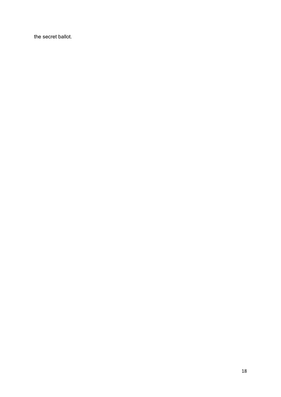the secret ballot.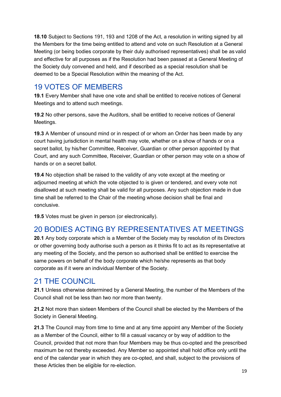**18.10** Subject to Sections 191, 193 and 1208 of the Act, a resolution in writing signed by all the Members for the time being entitled to attend and vote on such Resolution at a General Meeting (or being bodies corporate by their duly authorised representatives) shall be as valid and effective for all purposes as if the Resolution had been passed at a General Meeting of the Society duly convened and held, and if described as a special resolution shall be deemed to be a Special Resolution within the meaning of the Act.

## <span id="page-18-0"></span>19 VOTES OF MEMBERS

**19.1** Every Member shall have one vote and shall be entitled to receive notices of General Meetings and to attend such meetings.

**19.2** No other persons, save the Auditors, shall be entitled to receive notices of General Meetings.

**19.3** A Member of unsound mind or in respect of or whom an Order has been made by any court having jurisdiction in mental health may vote, whether on a show of hands or on a secret ballot, by his/her Committee, Receiver, Guardian or other person appointed by that Court, and any such Committee, Receiver, Guardian or other person may vote on a show of hands or on a secret ballot.

**19.4** No objection shall be raised to the validity of any vote except at the meeting or adjourned meeting at which the vote objected to is given or tendered, and every vote not disallowed at such meeting shall be valid for all purposes. Any such objection made in due time shall be referred to the Chair of the meeting whose decision shall be final and conclusive.

**19.5** Votes must be given in person (or electronically).

# <span id="page-18-1"></span>20 BODIES ACTING BY REPRESENTATIVES AT MEETINGS

**20.1** Any body corporate which is a Member of the Society may by resolution of its Directors or other governing body authorise such a person as it thinks fit to act as its representative at any meeting of the Society, and the person so authorised shall be entitled to exercise the same powers on behalf of the body corporate which he/she represents as that body corporate as if it were an individual Member of the Society.

## <span id="page-18-2"></span>21 THE COUNCIL

**21.1** Unless otherwise determined by a General Meeting, the number of the Members of the Council shall not be less than two nor more than twenty.

**21.2** Not more than sixteen Members of the Council shall be elected by the Members of the Society in General Meeting.

**21.3** The Council may from time to time and at any time appoint any Member of the Society as a Member of the Council, either to fill a casual vacancy or by way of addition to the Council, provided that not more than four Members may be thus co-opted and the prescribed maximum be not thereby exceeded. Any Member so appointed shall hold office only until the end of the calendar year in which they are co-opted, and shall, subject to the provisions of these Articles then be eligible for re-election.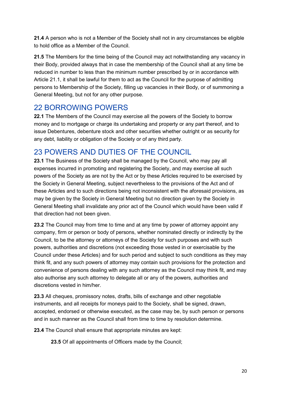**21.4** A person who is not a Member of the Society shall not in any circumstances be eligible to hold office as a Member of the Council.

**21.5** The Members for the time being of the Council may act notwithstanding any vacancy in their Body, provided always that in case the membership of the Council shall at any time be reduced in number to less than the minimum number prescribed by or in accordance with Article 21.1, it shall be lawful for them to act as the Council for the purpose of admitting persons to Membership of the Society, filling up vacancies in their Body, or of summoning a General Meeting, but not for any other purpose.

#### <span id="page-19-0"></span>22 BORROWING POWERS

**22.1** The Members of the Council may exercise all the powers of the Society to borrow money and to mortgage or charge its undertaking and property or any part thereof, and to issue Debentures, debenture stock and other securities whether outright or as security for any debt, liability or obligation of the Society or of any third party.

## <span id="page-19-1"></span>23 POWERS AND DUTIES OF THE COUNCIL

**23.1** The Business of the Society shall be managed by the Council, who may pay all expenses incurred in promoting and registering the Society, and may exercise all such powers of the Society as are not by the Act or by these Articles required to be exercised by the Society in General Meeting, subject nevertheless to the provisions of the Act and of these Articles and to such directions being not inconsistent with the aforesaid provisions, as may be given by the Society in General Meeting but no direction given by the Society in General Meeting shall invalidate any prior act of the Council which would have been valid if that direction had not been given.

**23.2** The Council may from time to time and at any time by power of attorney appoint any company, firm or person or body of persons, whether nominated directly or indirectly by the Council, to be the attorney or attorneys of the Society for such purposes and with such powers, authorities and discretions (not exceeding those vested in or exercisable by the Council under these Articles) and for such period and subject to such conditions as they may think fit, and any such powers of attorney may contain such provisions for the protection and convenience of persons dealing with any such attorney as the Council may think fit, and may also authorise any such attorney to delegate all or any of the powers, authorities and discretions vested in him/her.

**23.3** All cheques, promissory notes, drafts, bills of exchange and other negotiable instruments, and all receipts for moneys paid to the Society, shall be signed, drawn, accepted, endorsed or otherwise executed, as the case may be, by such person or persons and in such manner as the Council shall from time to time by resolution determine.

**23.4** The Council shall ensure that appropriate minutes are kept:

**23.5** Of all appointments of Officers made by the Council;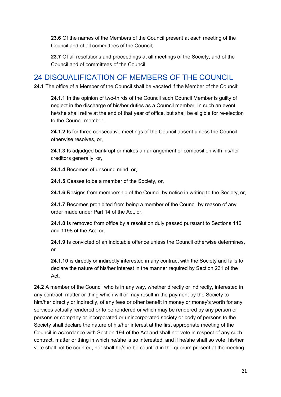**23.6** Of the names of the Members of the Council present at each meeting of the Council and of all committees of the Council;

**23.7** Of all resolutions and proceedings at all meetings of the Society, and of the Council and of committees of the Council.

#### <span id="page-20-0"></span>24 DISQUALIFICATION OF MEMBERS OF THE COUNCIL

**24.1** The office of a Member of the Council shall be vacated if the Member of the Council:

**24.1.1** In the opinion of two-thirds of the Council such Council Member is guilty of neglect in the discharge of his/her duties as a Council member. In such an event, he/she shall retire at the end of that year of office, but shall be eligible for re-election to the Council member.

**24.1.2** Is for three consecutive meetings of the Council absent unless the Council otherwise resolves, or,

**24.1.3** Is adjudged bankrupt or makes an arrangement or composition with his/her creditors generally, or,

**24.1.4** Becomes of unsound mind, or,

**24.1.5** Ceases to be a member of the Society, or,

**24.1.6** Resigns from membership of the Council by notice in writing to the Society, or,

**24.1.7** Becomes prohibited from being a member of the Council by reason of any order made under Part 14 of the Act, or,

**24.1.8** Is removed from office by a resolution duly passed pursuant to Sections 146 and 1198 of the Act, or,

**24.1.9** Is convicted of an indictable offence unless the Council otherwise determines, or

**24.1.10** is directly or indirectly interested in any contract with the Society and fails to declare the nature of his/her interest in the manner required by Section 231 of the Act.

**24.2** A member of the Council who is in any way, whether directly or indirectly, interested in any contract, matter or thing which will or may result in the payment by the Society to him/her directly or indirectly, of any fees or other benefit in money or money's worth for any services actually rendered or to be rendered or which may be rendered by any person or persons or company or incorporated or unincorporated society or body of persons to the Society shall declare the nature of his/her interest at the first appropriate meeting of the Council in accordance with Section 194 of the Act and shall not vote in respect of any such contract, matter or thing in which he/she is so interested, and if he/she shall so vote, his/her vote shall not be counted, nor shall he/she be counted in the quorum present at the meeting.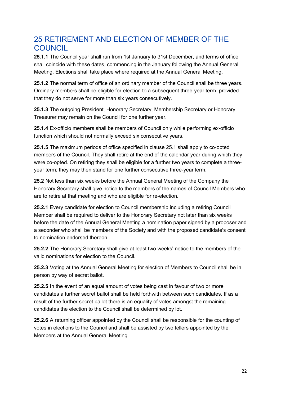## <span id="page-21-0"></span>25 RETIREMENT AND ELECTION OF MEMBER OF THE **COUNCIL**

**25.1.1** The Council year shall run from 1st January to 31st December, and terms of office shall coincide with these dates, commencing in the January following the Annual General Meeting. Elections shall take place where required at the Annual General Meeting.

**25.1.2** The normal term of office of an ordinary member of the Council shall be three years. Ordinary members shall be eligible for election to a subsequent three-year term, provided that they do not serve for more than six years consecutively.

**25.1.3** The outgoing President, Honorary Secretary, Membership Secretary or Honorary Treasurer may remain on the Council for one further year.

**25.1.4** Ex-officio members shall be members of Council only while performing ex-officio function which should not normally exceed six consecutive years.

**25.1.5** The maximum periods of office specified in clause 25.1 shall apply to co-opted members of the Council. They shall retire at the end of the calendar year during which they were co-opted. On retiring they shall be eligible for a further two years to complete a threeyear term; they may then stand for one further consecutive three-year term.

**25.2** Not less than six weeks before the Annual General Meeting of the Company the Honorary Secretary shall give notice to the members of the names of Council Members who are to retire at that meeting and who are eligible for re-election.

**25.2.1** Every candidate for election to Council membership including a retiring Council Member shall be required to deliver to the Honorary Secretary not later than six weeks before the date of the Annual General Meeting a nomination paper signed by a proposer and a seconder who shall be members of the Society and with the proposed candidate's consent to nomination endorsed thereon.

**25.2.2** The Honorary Secretary shall give at least two weeks' notice to the members of the valid nominations for election to the Council.

**25.2.3** Voting at the Annual General Meeting for election of Members to Council shall be in person by way of secret ballot.

**25.2.5** In the event of an equal amount of votes being cast in favour of two or more candidates a further secret ballot shall be held forthwith between such candidates. If as a result of the further secret ballot there is an equality of votes amongst the remaining candidates the election to the Council shall be determined by lot.

**25.2.6** A returning officer appointed by the Council shall be responsible for the counting of votes in elections to the Council and shall be assisted by two tellers appointed by the Members at the Annual General Meeting.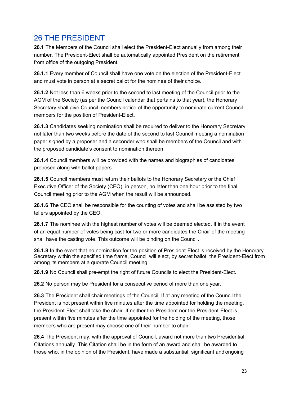## <span id="page-22-0"></span>26 THE PRESIDENT

**26.1** The Members of the Council shall elect the President-Elect annually from among their number. The President-Elect shall be automatically appointed President on the retirement from office of the outgoing President.

**26.1.1** Every member of Council shall have one vote on the election of the President-Elect and must vote in person at a secret ballot for the nominee of their choice.

**26.1.2** Not less than 6 weeks prior to the second to last meeting of the Council prior to the AGM of the Society (as per the Council calendar that pertains to that year), the Honorary Secretary shall give Council members notice of the opportunity to nominate current Council members for the position of President-Elect.

**26.1.3** Candidates seeking nomination shall be required to deliver to the Honorary Secretary not later than two weeks before the date of the second to last Council meeting a nomination paper signed by a proposer and a seconder who shall be members of the Council and with the proposed candidate's consent to nomination thereon.

**26.1.4** Council members will be provided with the names and biographies of candidates proposed along with ballot papers.

**26.1.5** Council members must return their ballots to the Honorary Secretary or the Chief Executive Officer of the Society (CEO), in person, no later than one hour prior to the final Council meeting prior to the AGM when the result will be announced.

**26.1.6** The CEO shall be responsible for the counting of votes and shall be assisted by two tellers appointed by the CEO.

**26.1.7** The nominee with the highest number of votes will be deemed elected. If in the event of an equal number of votes being cast for two or more candidates the Chair of the meeting shall have the casting vote. This outcome will be binding on the Council.

**26.1.8** In the event that no nomination for the position of President-Elect is received by the Honorary Secretary within the specified time frame, Council will elect, by secret ballot, the President-Elect from among its members at a quorate Council meeting.

**26.1.9** No Council shall pre-empt the right of future Councils to elect the President-Elect.

**26.2** No person may be President for a consecutive period of more than one year.

**26.3** The President shall chair meetings of the Council. If at any meeting of the Council the President is not present within five minutes after the time appointed for holding the meeting, the President-Elect shall take the chair. If neither the President nor the President-Elect is present within five minutes after the time appointed for the holding of the meeting, those members who are present may choose one of their number to chair.

**26.4** The President may, with the approval of Council, award not more than two Presidential Citations annually. This Citation shall be in the form of an award and shall be awarded to those who, in the opinion of the President, have made a substantial, significant and ongoing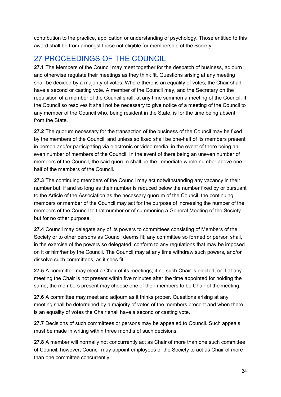contribution to the practice, application or understanding of psychology. Those entitled to this award shall be from amongst those not eligible for membership of the Society.

# <span id="page-23-0"></span>27 PROCEEDINGS OF THE COUNCIL

**27.1** The Members of the Council may meet together for the despatch of business, adjourn and otherwise regulate their meetings as they think fit. Questions arising at any meeting shall be decided by a majority of votes. Where there is an equality of votes, the Chair shall have a second or casting vote. A member of the Council may, and the Secretary on the requisition of a member of the Council shall, at any time summon a meeting of the Council. If the Council so resolves it shall not be necessary to give notice of a meeting of the Council to any member of the Council who, being resident in the State, is for the time being absent from the State.

**27.2** The quorum necessary for the transaction of the business of the Council may be fixed by the members of the Council, and unless so fixed shall be one-half of its members present in person and/or participating via electronic or video media, in the event of there being an even number of members of the Council. In the event of there being an uneven number of members of the Council, the said quorum shall be the immediate whole number above onehalf of the members of the Council.

**27.3** The continuing members of the Council may act notwithstanding any vacancy in their number but, if and so long as their number is reduced below the number fixed by or pursuant to the Article of the Association as the necessary quorum of the Council, the continuing members or member of the Council may act for the purpose of increasing the number of the members of the Council to that number or of summoning a General Meeting of the Society but for no other purpose.

**27.4** Council may delegate any of its powers to committees consisting of Members of the Society or to other persons as Council deems fit; any committee so formed or person shall, in the exercise of the powers so delegated, conform to any regulations that may be imposed on it or him/her by the Council. The Council may at any time withdraw such powers, and/or dissolve such committees, as it sees fit.

**27.5** A committee may elect a Chair of its meetings; if no such Chair is elected, or if at any meeting the Chair is not present within five minutes after the time appointed for holding the same, the members present may choose one of their members to be Chair of the meeting.

**27.6** A committee may meet and adjourn as it thinks proper. Questions arising at any meeting shall be determined by a majority of votes of the members present and when there is an equality of votes the Chair shall have a second or casting vote.

**27.7** Decisions of such committees or persons may be appealed to Council. Such appeals must be made in writing within three months of such decisions.

**27.8** A member will normally not concurrently act as Chair of more than one such committee of Council; however, Council may appoint employees of the Society to act as Chair of more than one committee concurrently.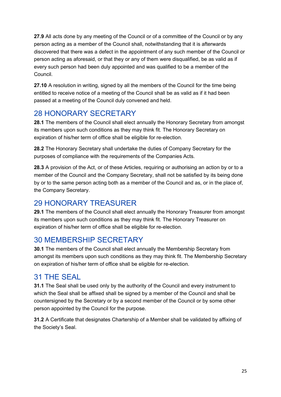**27.9** All acts done by any meeting of the Council or of a committee of the Council or by any person acting as a member of the Council shall, notwithstanding that it is afterwards discovered that there was a defect in the appointment of any such member of the Council or person acting as aforesaid, or that they or any of them were disqualified, be as valid as if every such person had been duly appointed and was qualified to be a member of the Council.

**27.10** A resolution in writing, signed by all the members of the Council for the time being entitled to receive notice of a meeting of the Council shall be as valid as if it had been passed at a meeting of the Council duly convened and held.

# <span id="page-24-0"></span>28 HONORARY SECRETARY

**28.1** The members of the Council shall elect annually the Honorary Secretary from amongst its members upon such conditions as they may think fit. The Honorary Secretary on expiration of his/her term of office shall be eligible for re-election.

**28.2** The Honorary Secretary shall undertake the duties of Company Secretary for the purposes of compliance with the requirements of the Companies Acts.

**28.3** A provision of the Act, or of these Articles, requiring or authorising an action by or to a member of the Council and the Company Secretary, shall not be satisfied by its being done by or to the same person acting both as a member of the Council and as, or in the place of, the Company Secretary.

# <span id="page-24-1"></span>29 HONORARY TREASURER

**29.1** The members of the Council shall elect annually the Honorary Treasurer from amongst its members upon such conditions as they may think fit. The Honorary Treasurer on expiration of his/her term of office shall be eligible for re-election.

## <span id="page-24-2"></span>30 MEMBERSHIP SECRETARY

**30.1** The members of the Council shall elect annually the Membership Secretary from amongst its members upon such conditions as they may think fit. The Membership Secretary on expiration of his/her term of office shall be eligible for re-election.

## <span id="page-24-3"></span>31 THE SEAL

**31.1** The Seal shall be used only by the authority of the Council and every instrument to which the Seal shall be affixed shall be signed by a member of the Council and shall be countersigned by the Secretary or by a second member of the Council or by some other person appointed by the Council for the purpose.

**31.2** A Certificate that designates Chartership of a Member shall be validated by affixing of the Society's Seal.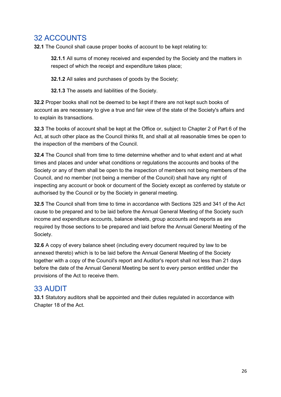# <span id="page-25-0"></span>32 ACCOUNTS

**32.1** The Council shall cause proper books of account to be kept relating to:

**32.1.1** All sums of money received and expended by the Society and the matters in respect of which the receipt and expenditure takes place;

**32.1.2** All sales and purchases of goods by the Society;

**32.1.3** The assets and liabilities of the Society.

**32.2** Proper books shall not be deemed to be kept if there are not kept such books of account as are necessary to give a true and fair view of the state of the Society's affairs and to explain its transactions.

**32.3** The books of account shall be kept at the Office or, subject to Chapter 2 of Part 6 of the Act, at such other place as the Council thinks fit, and shall at all reasonable times be open to the inspection of the members of the Council.

**32.4** The Council shall from time to time determine whether and to what extent and at what times and places and under what conditions or regulations the accounts and books of the Society or any of them shall be open to the inspection of members not being members of the Council, and no member (not being a member of the Council) shall have any right of inspecting any account or book or document of the Society except as conferred by statute or authorised by the Council or by the Society in general meeting.

**32.5** The Council shall from time to time in accordance with Sections 325 and 341 of the Act cause to be prepared and to be laid before the Annual General Meeting of the Society such income and expenditure accounts, balance sheets, group accounts and reports as are required by those sections to be prepared and laid before the Annual General Meeting of the Society.

**32.6** A copy of every balance sheet (including every document required by law to be annexed thereto) which is to be laid before the Annual General Meeting of the Society together with a copy of the Council's report and Auditor's report shall not less than 21 days before the date of the Annual General Meeting be sent to every person entitled under the provisions of the Act to receive them.

## <span id="page-25-1"></span>33 AUDIT

**33.1** Statutory auditors shall be appointed and their duties regulated in accordance with Chapter 18 of the Act.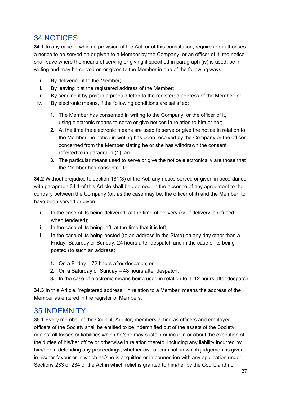## <span id="page-26-0"></span>34 NOTICES

**34.1** In any case in which a provision of the Act, or of this constitution, requires or authorises a notice to be served on or given to a Member by the Company, or an officer of it, the notice shall save where the means of serving or giving it specified in paragraph (iv) is used, be in writing and may be served on or given to the Member in one of the following ways:

- i. By delivering it to the Member;
- ii. By leaving it at the registered address of the Member;
- iii. By sending it by post in a prepaid letter to the registered address of the Member, or,
- iv. By electronic means, if the following conditions are satisfied:
	- **1.** The Member has consented in writing to the Company, or the officer of it, using electronic means to serve or give notices in relation to him or her;
	- **2.** At the time the electronic means are used to serve or give the notice in relation to the Member, no notice in writing has been received by the Company or the officer concerned from the Member stating he or she has withdrawn the consent referred to in paragraph (1), and
	- **3.** The particular means used to serve or give the notice electronically are those that the Member has consented to.

**34.2** Without prejudice to section 181(3) of the Act, any notice served or given in accordance with paragraph 34.1 of this Article shall be deemed, in the absence of any agreement to the contrary between the Company (or, as the case may be, the officer of it) and the Member, to have been served or given:

- i. In the case of its being delivered, at the time of delivery (or, if delivery is refused, when tendered);
- ii. In the case of its being left, at the time that it is left;
- iii. In the case of its being posted (to an address in the State) on any day other than a Friday, Saturday or Sunday, 24 hours after despatch and in the case of its being posted (to such an address):
	- **1.** On a Friday 72 hours after despatch; or
	- **2.** On a Saturday or Sunday 48 hours after despatch;
	- **3.** In the case of electronic means being used in relation to it, 12 hours after despatch.

**34.3** In this Article, 'registered address', in relation to a Member, means the address of the Member as entered in the register of Members.

#### <span id="page-26-1"></span>35 INDEMNITY

**35.1** Every member of the Council, Auditor, members acting as officers and employed officers of the Society shall be entitled to be indemnified out of the assets of the Society against all losses or liabilities which he/she may sustain or incur in or about the execution of the duties of his/her office or otherwise in relation thereto, including any liability incurred by him/her in defending any proceedings, whether civil or criminal, in which judgement is given in his/her favour or in which he/she is acquitted or in connection with any application under Sections 233 or 234 of the Act in which relief is granted to him/her by the Court, and no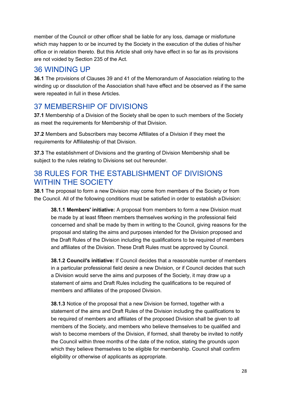member of the Council or other officer shall be liable for any loss, damage or misfortune which may happen to or be incurred by the Society in the execution of the duties of his/her office or in relation thereto. But this Article shall only have effect in so far as its provisions are not voided by Section 235 of the Act.

## <span id="page-27-0"></span>36 WINDING UP

**36.1** The provisions of Clauses 39 and 41 of the Memorandum of Association relating to the winding up or dissolution of the Association shall have effect and be observed as if the same were repeated in full in these Articles.

## <span id="page-27-1"></span>37 MEMBERSHIP OF DIVISIONS

**37.1** Membership of a Division of the Society shall be open to such members of the Society as meet the requirements for Membership of that Division.

**37.2** Members and Subscribers may become Affiliates of a Division if they meet the requirements for Affiliateship of that Division.

**37.3** The establishment of Divisions and the granting of Division Membership shall be subject to the rules relating to Divisions set out hereunder.

## <span id="page-27-2"></span>38 RULES FOR THE ESTABLISHMENT OF DIVISIONS WITHIN THE SOCIETY

**38.1** The proposal to form a new Division may come from members of the Society or from the Council. All of the following conditions must be satisfied in order to establish a Division:

**38.1.1 Members' initiative:** A proposal from members to form a new Division must be made by at least fifteen members themselves working in the professional field concerned and shall be made by them in writing to the Council, giving reasons for the proposal and stating the aims and purposes intended for the Division proposed and the Draft Rules of the Division including the qualifications to be required of members and affiliates of the Division. These Draft Rules must be approved by Council.

**38.1.2 Council's initiative:** If Council decides that a reasonable number of members in a particular professional field desire a new Division, or if Council decides that such a Division would serve the aims and purposes of the Society, it may draw up a statement of aims and Draft Rules including the qualifications to be required of members and affiliates of the proposed Division.

**38.1.3** Notice of the proposal that a new Division be formed, together with a statement of the aims and Draft Rules of the Division including the qualifications to be required of members and affiliates of the proposed Division shall be given to all members of the Society, and members who believe themselves to be qualified and wish to become members of the Division, if formed, shall thereby be invited to notify the Council within three months of the date of the notice, stating the grounds upon which they believe themselves to be eligible for membership. Council shall confirm eligibility or otherwise of applicants as appropriate.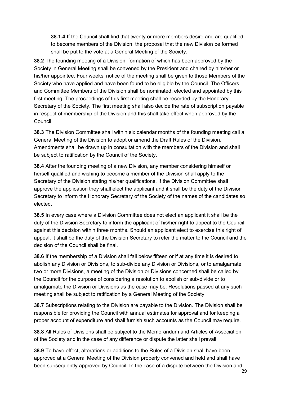**38.1.4** If the Council shall find that twenty or more members desire and are qualified to become members of the Division, the proposal that the new Division be formed shall be put to the vote at a General Meeting of the Society.

**38.2** The founding meeting of a Division, formation of which has been approved by the Society in General Meeting shall be convened by the President and chaired by him/her or his/her appointee. Four weeks' notice of the meeting shall be given to those Members of the Society who have applied and have been found to be eligible by the Council. The Officers and Committee Members of the Division shall be nominated, elected and appointed by this first meeting. The proceedings of this first meeting shall be recorded by the Honorary Secretary of the Society. The first meeting shall also decide the rate of subscription payable in respect of membership of the Division and this shall take effect when approved by the Council.

**38.3** The Division Committee shall within six calendar months of the founding meeting call a General Meeting of the Division to adopt or amend the Draft Rules of the Division. Amendments shall be drawn up in consultation with the members of the Division and shall be subject to ratification by the Council of the Society.

**38.4** After the founding meeting of a new Division, any member considering himself or herself qualified and wishing to become a member of the Division shall apply to the Secretary of the Division stating his/her qualifications. If the Division Committee shall approve the application they shall elect the applicant and it shall be the duty of the Division Secretary to inform the Honorary Secretary of the Society of the names of the candidates so elected.

**38.5** In every case where a Division Committee does not elect an applicant it shall be the duty of the Division Secretary to inform the applicant of his/her right to appeal to the Council against this decision within three months. Should an applicant elect to exercise this right of appeal, it shall be the duty of the Division Secretary to refer the matter to the Council and the decision of the Council shall be final.

**38.6** If the membership of a Division shall fall below fifteen or if at any time it is desired to abolish any Division or Divisions, to sub-divide any Division or Divisions, or to amalgamate two or more Divisions, a meeting of the Division or Divisions concerned shall be called by the Council for the purpose of considering a resolution to abolish or sub-divide or to amalgamate the Division or Divisions as the case may be. Resolutions passed at any such meeting shall be subject to ratification by a General Meeting of the Society.

**38.7** Subscriptions relating to the Division are payable to the Division. The Division shall be responsible for providing the Council with annual estimates for approval and for keeping a proper account of expenditure and shall furnish such accounts as the Council may require.

**38.8** All Rules of Divisions shall be subject to the Memorandum and Articles of Association of the Society and in the case of any difference or dispute the latter shall prevail.

**38.9** To have effect, alterations or additions to the Rules of a Division shall have been approved at a General Meeting of the Division properly convened and held and shall have been subsequently approved by Council. In the case of a dispute between the Division and